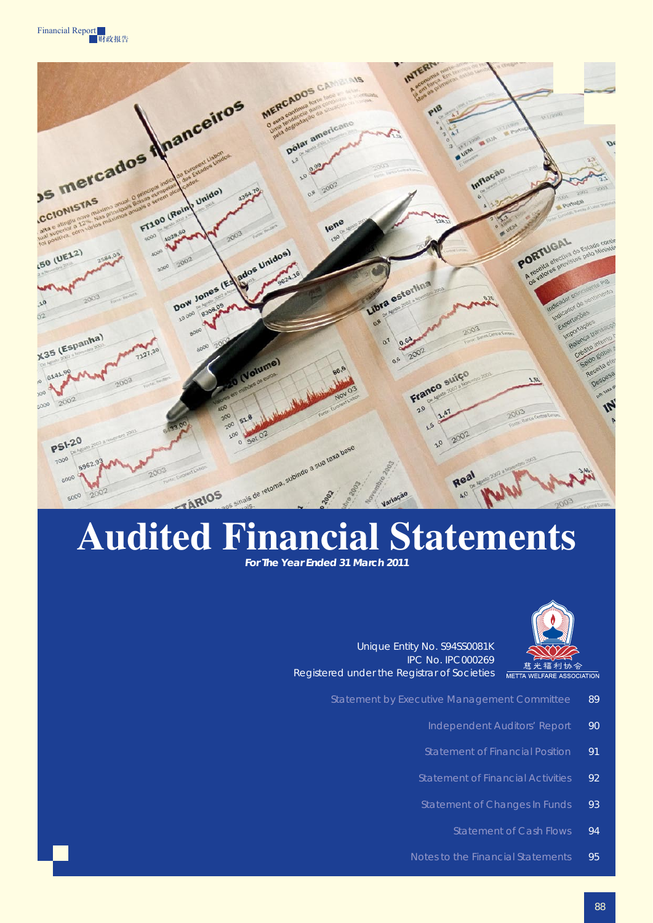



# **Audited Financial Statements**

*For The Year Ended 31 March 2011* 



Unique Entity No. S94SS0081K IPC No. IPC000269 Registered under the Registrar of Societies

- Statement by Executive Management Committee 89
	- Independent Auditors' Report 90
	- Statement of Financial Position 91
	- Statement of Financial Activities 92
	- Statement of Changes In Funds 93
		- Statement of Cash Flows 94
	- Notes to the Financial Statements 95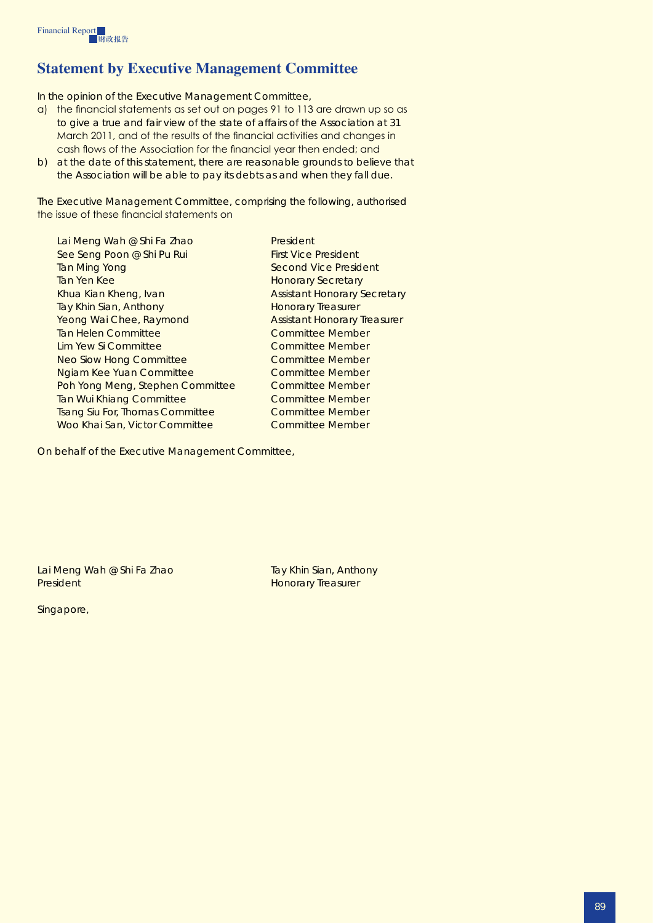# **Statement by Executive Management Committee**

In the opinion of the Executive Management Committee,

- a) the financial statements as set out on pages 91 to 113 are drawn up so as to give a true and fair view of the state of affairs of the Association at 31 March 2011, and of the results of the financial activities and changes in cash flows of the Association for the financial year then ended; and
- b) at the date of this statement, there are reasonable grounds to believe that the Association will be able to pay its debts as and when they fall due.

The Executive Management Committee, comprising the following, authorised the issue of these financial statements on

| Lai Meng Wah @ Shi Fa Zhao             | President                           |
|----------------------------------------|-------------------------------------|
| See Seng Poon @ Shi Pu Rui             | <b>First Vice President</b>         |
| Tan Ming Yong                          | Second Vice President               |
| Tan Yen Kee                            | <b>Honorary Secretary</b>           |
| Khua Kian Kheng, Ivan                  | <b>Assistant Honorary Secretary</b> |
| Tay Khin Sian, Anthony                 | <b>Honorary Treasurer</b>           |
| Yeong Wai Chee, Raymond                | <b>Assistant Honorary Treasurer</b> |
| Tan Helen Committee                    | Committee Member                    |
| Lim Yew Si Committee                   | <b>Committee Member</b>             |
| Neo Siow Hong Committee                | <b>Committee Member</b>             |
| <b>Ngiam Kee Yuan Committee</b>        | <b>Committee Member</b>             |
| Poh Yong Meng, Stephen Committee       | Committee Member                    |
| <b>Tan Wui Khiang Committee</b>        | <b>Committee Member</b>             |
| <b>Tsang Siu For, Thomas Committee</b> | <b>Committee Member</b>             |
| Woo Khai San, Victor Committee         | Committee Member                    |
|                                        |                                     |

On behalf of the Executive Management Committee,

Lai Meng Wah @ Shi Fa Zhao Tay Khin Sian, Anthony President **Honorary Treasurer** 

Singapore,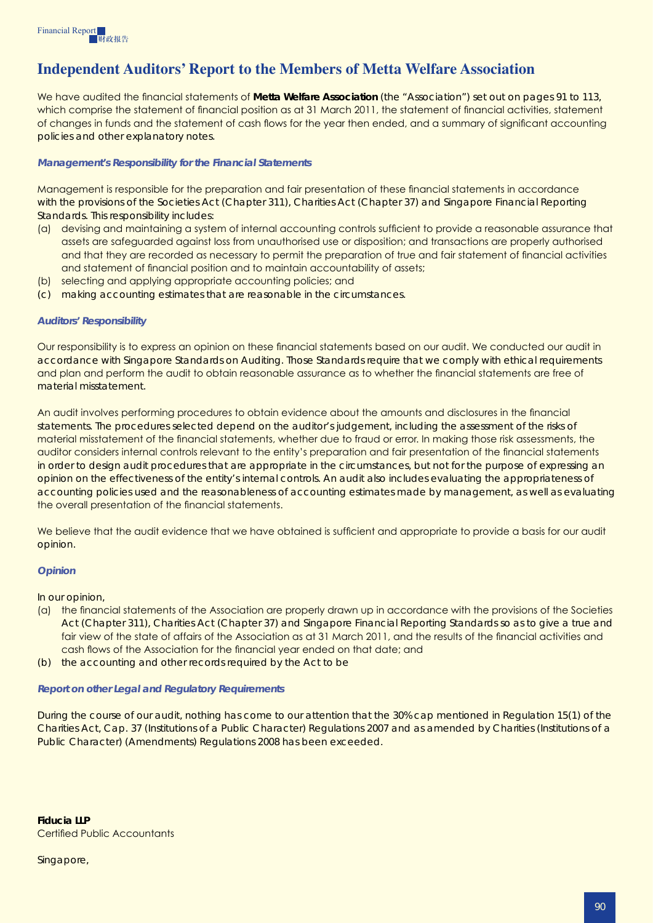# **Independent Auditors' Report to the Members of Metta Welfare Association**

We have audited the financial statements of **Metta Welfare Association** (the "Association") set out on pages 91 to 113, which comprise the statement of financial position as at 31 March 2011, the statement of financial activities, statement of changes in funds and the statement of cash flows for the year then ended, and a summary of significant accounting policies and other explanatory notes.

#### *Management's Responsibility for the Financial Statements*

Management is responsible for the preparation and fair presentation of these financial statements in accordance with the provisions of the Societies Act (Chapter 311), Charities Act (Chapter 37) and Singapore Financial Reporting Standards. This responsibility includes:

- (a) devising and maintaining a system of internal accounting controls sufficient to provide a reasonable assurance that assets are safeguarded against loss from unauthorised use or disposition; and transactions are properly authorised and that they are recorded as necessary to permit the preparation of true and fair statement of financial activities and statement of financial position and to maintain accountability of assets;
- (b) selecting and applying appropriate accounting policies; and
- (c) making accounting estimates that are reasonable in the circumstances.

#### *Auditors' Responsibility*

Our responsibility is to express an opinion on these financial statements based on our audit. We conducted our audit in accordance with Singapore Standards on Auditing. Those Standards require that we comply with ethical requirements and plan and perform the audit to obtain reasonable assurance as to whether the financial statements are free of material misstatement.

An audit involves performing procedures to obtain evidence about the amounts and disclosures in the financial statements. The procedures selected depend on the auditor's judgement, including the assessment of the risks of material misstatement of the financial statements, whether due to fraud or error. In making those risk assessments, the auditor considers internal controls relevant to the entity's preparation and fair presentation of the financial statements in order to design audit procedures that are appropriate in the circumstances, but not for the purpose of expressing an opinion on the effectiveness of the entity's internal controls. An audit also includes evaluating the appropriateness of accounting policies used and the reasonableness of accounting estimates made by management, as well as evaluating the overall presentation of the financial statements.

We believe that the audit evidence that we have obtained is sufficient and appropriate to provide a basis for our audit opinion.

#### *Opinion*

In our opinion,

- (a) the financial statements of the Association are properly drawn up in accordance with the provisions of the Societies Act (Chapter 311), Charities Act (Chapter 37) and Singapore Financial Reporting Standards so as to give a true and fair view of the state of affairs of the Association as at 31 March 2011, and the results of the financial activities and cash flows of the Association for the financial year ended on that date; and
- (b) the accounting and other records required by the Act to be

#### *Report on other Legal and Regulatory Requirements*

During the course of our audit, nothing has come to our attention that the 30% cap mentioned in Regulation 15(1) of the Charities Act, Cap. 37 (Institutions of a Public Character) Regulations 2007 and as amended by Charities (Institutions of a Public Character) (Amendments) Regulations 2008 has been exceeded.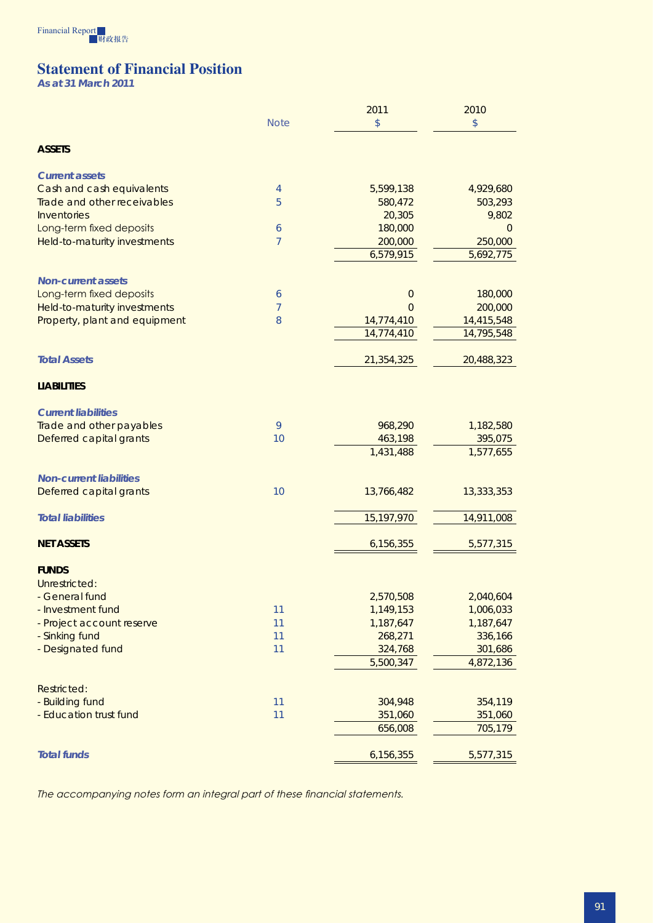

# **Statement of Financial Position**

*As at 31 March 2011* 

|                                |                | 2011                     | 2010           |  |  |
|--------------------------------|----------------|--------------------------|----------------|--|--|
|                                | <b>Note</b>    | \$                       | $$\mathbb{S}$$ |  |  |
|                                |                |                          |                |  |  |
| <b>ASSETS</b>                  |                |                          |                |  |  |
| <b>Current assets</b>          |                |                          |                |  |  |
| Cash and cash equivalents      | 4              | 5,599,138                | 4,929,680      |  |  |
| Trade and other receivables    | 5              | 580,472                  | 503,293        |  |  |
| Inventories                    |                | 20,305                   | 9,802          |  |  |
| Long-term fixed deposits       | 6              | 180,000                  | $\overline{0}$ |  |  |
| Held-to-maturity investments   | $\overline{7}$ | 200,000                  | 250,000        |  |  |
|                                |                | 6,579,915                | 5,692,775      |  |  |
|                                |                |                          |                |  |  |
| <b>Non-current assets</b>      |                |                          | 180,000        |  |  |
| Long-term fixed deposits       | 6<br>7         | $\theta$<br>$\Omega$     | 200,000        |  |  |
| Held-to-maturity investments   | 8              |                          | 14,415,548     |  |  |
| Property, plant and equipment  |                | 14,774,410<br>14,774,410 | 14,795,548     |  |  |
|                                |                |                          |                |  |  |
| <b>Total Assets</b>            |                | 21,354,325               | 20,488,323     |  |  |
|                                |                |                          |                |  |  |
| <b>LIABILITIES</b>             |                |                          |                |  |  |
| <b>Current liabilities</b>     |                |                          |                |  |  |
| Trade and other payables       | 9              | 968,290                  | 1,182,580      |  |  |
| Deferred capital grants        | 10             | 463,198                  | 395,075        |  |  |
|                                |                | 1,431,488                | 1,577,655      |  |  |
| <b>Non-current liabilities</b> |                |                          |                |  |  |
| Deferred capital grants        | 10             | 13,766,482               | 13,333,353     |  |  |
|                                |                |                          |                |  |  |
| <b>Total liabilities</b>       |                | 15,197,970               | 14,911,008     |  |  |
|                                |                |                          |                |  |  |
| <b>NET ASSETS</b>              |                | 6,156,355                | 5,577,315      |  |  |
| <b>FUNDS</b>                   |                |                          |                |  |  |
| Unrestricted:                  |                |                          |                |  |  |
| <b>General fund</b>            |                | 2,570,508                | 2,040,604      |  |  |
| - Investment fund              | 11             | 1,149,153                | 1,006,033      |  |  |
| - Project account reserve      | 11             | 1,187,647                | 1,187,647      |  |  |
| - Sinking fund                 | 11             | 268,271                  | 336,166        |  |  |
| - Designated fund              | 11             | 324,768                  | 301,686        |  |  |
|                                |                | 5,500,347                | 4,872,136      |  |  |
| Restricted:                    |                |                          |                |  |  |
| - Building fund                | 11             | 304,948                  | 354,119        |  |  |
| - Education trust fund         | 11             | 351,060                  | 351,060        |  |  |
|                                |                | 656,008                  | 705,179        |  |  |
|                                |                |                          |                |  |  |
| <b>Total funds</b>             |                | 6,156,355                | 5,577,315      |  |  |

*The accompanying notes form an integral part of these financial statements.*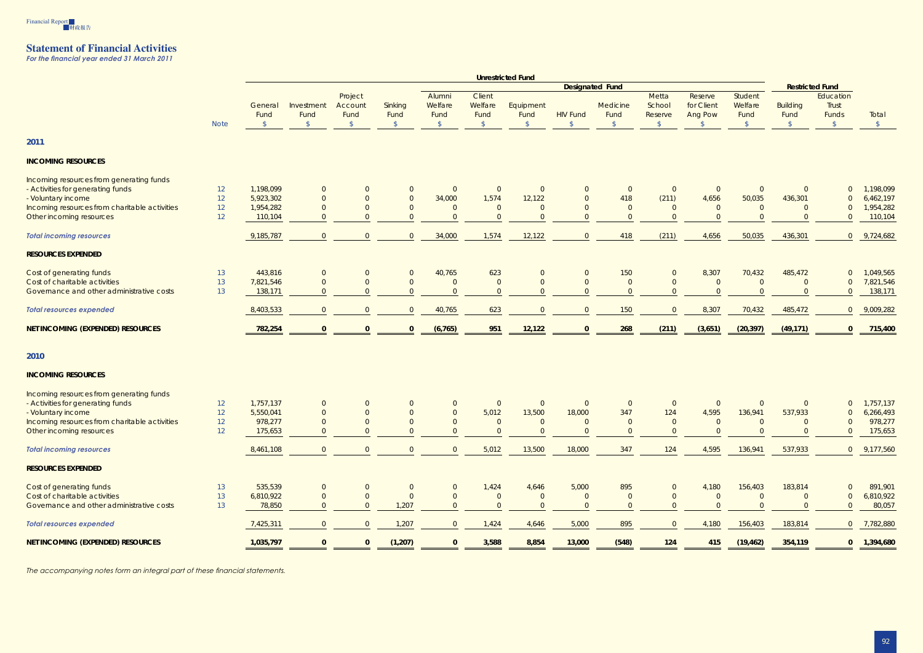

## **Statement of Financial Activities**

*For the financial year ended 31 March 2011* 

|                                               |                 | <b>Unrestricted Fund</b> |                    |                            |                 |                           |                           |                   |                 |                        |                            |                                  |                            |                         |                             |               |
|-----------------------------------------------|-----------------|--------------------------|--------------------|----------------------------|-----------------|---------------------------|---------------------------|-------------------|-----------------|------------------------|----------------------------|----------------------------------|----------------------------|-------------------------|-----------------------------|---------------|
|                                               |                 |                          |                    |                            |                 |                           |                           |                   |                 | <b>Designated Fund</b> |                            |                                  |                            |                         | <b>Restricted Fund</b>      |               |
|                                               |                 | General<br>Fund          | Investment<br>Fund | Project<br>Account<br>Fund | Sinking<br>Fund | Alumni<br>Welfare<br>Fund | Client<br>Welfare<br>Fund | Equipment<br>Fund | <b>HIV Fund</b> | Medicine<br>Fund       | Metta<br>School<br>Reserve | Reserve<br>for Client<br>Ang Pow | Student<br>Welfare<br>Fund | <b>Building</b><br>Fund | Education<br>Trust<br>Funds | Total         |
|                                               | <b>Note</b>     | $\sqrt{5}$               | $\sqrt{5}$         | $\sqrt[6]{\frac{1}{2}}$    | $\mathcal{S}$   | $\mathcal{S}$             | $\mathcal{S}$             | $\mathcal{S}$     | $\mathcal{S}$   | $\sqrt[6]{}$           | $\sqrt[6]{}$               | $\mathcal{S}$                    | $\sqrt[6]{}$               | $\sqrt$                 | $\sqrt{5}$                  | $\sqrt$       |
| 2011                                          |                 |                          |                    |                            |                 |                           |                           |                   |                 |                        |                            |                                  |                            |                         |                             |               |
| <b>INCOMING RESOURCES</b>                     |                 |                          |                    |                            |                 |                           |                           |                   |                 |                        |                            |                                  |                            |                         |                             |               |
| Incoming resources from generating funds      |                 |                          |                    |                            |                 |                           |                           |                   |                 |                        |                            |                                  |                            |                         |                             |               |
| - Activities for generating funds             | 12 <sup>°</sup> | 1,198,099                | $\overline{0}$     | $\Omega$                   | $\overline{0}$  | $\overline{0}$            | $\overline{0}$            | $\overline{0}$    | $\overline{0}$  | $\overline{0}$         | $\overline{0}$             | $\overline{0}$                   | $\overline{0}$             | $\overline{0}$          | $\overline{0}$              | 1,198,099     |
| - Voluntary income                            | 12              | 5,923,302                | $\overline{0}$     |                            | $\overline{0}$  | 34,000                    | 1,574                     | 12,122            | $\overline{0}$  | 418                    | (211)                      | 4,656                            | 50,035                     | 436,301                 | $\Omega$                    | 6,462,197     |
| Incoming resources from charitable activities | 12              | 1,954,282                | $\overline{0}$     |                            | $\overline{0}$  | $\Omega$                  | $\overline{0}$            | $\Omega$          | $\overline{0}$  | $\Omega$               | $\overline{0}$             | $\overline{0}$                   | $\Omega$                   | $\Omega$                | $\Omega$                    | 1,954,282     |
| Other incoming resources                      | 12 <sup>°</sup> | 110,104                  | $\Omega$           |                            | $\Omega$        | $\Omega$                  | $\overline{0}$            | $\Omega$          | $\overline{0}$  | $\Omega$               | $\overline{0}$             |                                  | $\Omega$                   | $\Omega$                | $\Omega$                    | 110,104       |
| <b>Total incoming resources</b>               |                 | 9,185,787                | $\overline{0}$     | $\Omega$                   | $\overline{0}$  | 34,000                    | 1,574                     | 12,122            | $\overline{0}$  | 418                    | (211)                      | 4,656                            | 50,035                     | 436,301                 | $\overline{0}$              | 9,724,682     |
| <b>RESOURCES EXPENDED</b>                     |                 |                          |                    |                            |                 |                           |                           |                   |                 |                        |                            |                                  |                            |                         |                             |               |
| Cost of generating funds                      | 13              | 443,816                  | $\overline{0}$     | $\overline{0}$             | $\overline{0}$  | 40,765                    | 623                       | $\overline{0}$    | $\overline{0}$  | 150                    | $\overline{0}$             | 8,307                            | 70,432                     | 485,472                 | $\overline{0}$              | 1,049,565     |
| Cost of charitable activities                 | 13              | 7,821,546                | $\overline{0}$     | $\Omega$                   | $\overline{0}$  | $\Omega$                  | $\overline{0}$            | $\overline{0}$    | $\overline{0}$  | $\overline{0}$         | $\overline{0}$             | $\overline{0}$                   | $\overline{0}$             | $\overline{0}$          | $\Omega$                    | 7,821,546     |
| Governance and other administrative costs     | 13              | 138,171                  | $\Omega$           |                            | $\Omega$        | $\Omega$                  | $\overline{0}$            | $\overline{0}$    | $\overline{0}$  | $\overline{0}$         | $\Omega$                   | $\Omega$                         | $\Omega$                   | $\Omega$                | $\Omega$                    | 138,171       |
| <b>Total resources expended</b>               |                 | 8,403,533                | $\overline{0}$     | $\Omega$                   | $\overline{0}$  | 40,765                    | 623                       | $\overline{0}$    | $\overline{0}$  | 150                    | $\overline{0}$             | 8,307                            | 70,432                     | 485,472                 | $\overline{0}$              | 9,009,282     |
| <b>NET INCOMING (EXPENDED) RESOURCES</b>      |                 | 782,254                  |                    |                            | $\mathbf{0}$    | (6, 765)                  | 951                       | 12,122            | $\mathbf{0}$    | 268                    | (211)                      | (3,651)                          | (20, 397)                  | (49, 171)               | $\mathbf{0}$                | 715,400       |
|                                               |                 |                          |                    |                            |                 |                           |                           |                   |                 |                        |                            |                                  |                            |                         |                             |               |
| 2010                                          |                 |                          |                    |                            |                 |                           |                           |                   |                 |                        |                            |                                  |                            |                         |                             |               |
| <b>INCOMING RESOURCES</b>                     |                 |                          |                    |                            |                 |                           |                           |                   |                 |                        |                            |                                  |                            |                         |                             |               |
| Incoming resources from generating funds      |                 |                          |                    |                            |                 |                           |                           |                   |                 |                        |                            |                                  |                            |                         |                             |               |
| - Activities for generating funds             | 12              | 1,757,137                | $\overline{0}$     | $\Omega$                   | $\overline{0}$  | $\overline{0}$            | $\overline{0}$            | $\overline{0}$    | $\overline{0}$  | $\overline{0}$         | $\overline{0}$             | $\overline{0}$                   | $\overline{0}$             | $\overline{0}$          | $\overline{0}$              | 1,757,137     |
| - Voluntary income                            | 12              | 5,550,041                | $\overline{0}$     |                            | $\Omega$        | $\overline{0}$            | 5,012                     | 13,500            | 18,000          | 347                    | 124                        | 4,595                            | 136,941                    | 537,933                 | $\Omega$                    | 6,266,493     |
| Incoming resources from charitable activities | 12              | 978,277                  | $\Omega$           | $\Omega$                   | $\Omega$        | $\Omega$                  | $\Omega$                  | $\Omega$          | $\Omega$        | $\Omega$               | $\Omega$                   | $\Omega$                         | $\Omega$                   | $\Omega$                | $\Omega$                    | 978,277       |
| Other incoming resources                      | 12              | 175,653                  | $\Omega$           | $\Omega$                   | $\Omega$        | $\Omega$                  | $\overline{0}$            | $\Omega$          | $\overline{0}$  | $\Omega$               | $\Omega$                   | $\Omega$                         | $\Omega$                   | $\Omega$                | $\Omega$                    | 175,653       |
| <b>Total incoming resources</b>               |                 | 8,461,108                | $\overline{0}$     | $\overline{0}$             | $\overline{0}$  | $\overline{0}$            | 5,012                     | 13,500            | 18,000          | 347                    | 124                        | 4,595                            | 136,941                    | 537,933                 |                             | 0 9,177,560   |
| <b>RESOURCES EXPENDED</b>                     |                 |                          |                    |                            |                 |                           |                           |                   |                 |                        |                            |                                  |                            |                         |                             |               |
| Cost of generating funds                      | 13              | 535,539                  | $\overline{0}$     | $\overline{0}$             | $\overline{0}$  | $\overline{0}$            | 1,424                     | 4,646             | 5,000           | 895                    | $\overline{0}$             | 4,180                            | 156,403                    | 183,814                 | $\overline{0}$              | 891,901       |
| Cost of charitable activities                 | 13              | 6,810,922                | $\overline{0}$     | $\overline{0}$             | $\overline{0}$  | $\overline{0}$            | $\overline{0}$            | $\overline{0}$    | $\overline{0}$  | $\overline{0}$         | $\overline{0}$             | $\overline{0}$                   | $\overline{0}$             | $\overline{0}$          | $\Omega$                    | 6,810,922     |
| Governance and other administrative costs     | 13              | 78,850                   | $\overline{0}$     | $\Omega$                   | 1,207           | $\overline{0}$            | $\overline{0}$            | $\overline{0}$    | $\overline{0}$  | $\overline{0}$         | $\overline{0}$             | $\overline{0}$                   | $\Omega$                   | $\overline{0}$          | $\overline{0}$              | 80,057        |
| <b>Total resources expended</b>               |                 | 7,425,311                | $\overline{0}$     | $\overline{0}$             | 1,207           | $\overline{0}$            | 1,424                     | 4,646             | 5,000           | 895                    | $\overline{0}$             | 4,180                            | 156,403                    | 183,814                 |                             | 0 7,782,880   |
| <b>NET INCOMING (EXPENDED) RESOURCES</b>      |                 | $\frac{1,035,797}{1}$    |                    | $\mathbf{0}$               | (1, 207)        | $\mathbf{0}$              | 3,588                     | 8,854             | 13,000          | (548)                  | 124                        | 415                              | (19, 462)                  | 354,119                 |                             | $0$ 1,394,680 |
|                                               |                 |                          |                    |                            |                 |                           |                           |                   |                 |                        |                            |                                  |                            |                         |                             |               |

*The accompanying notes form an integral part of these financial statements.*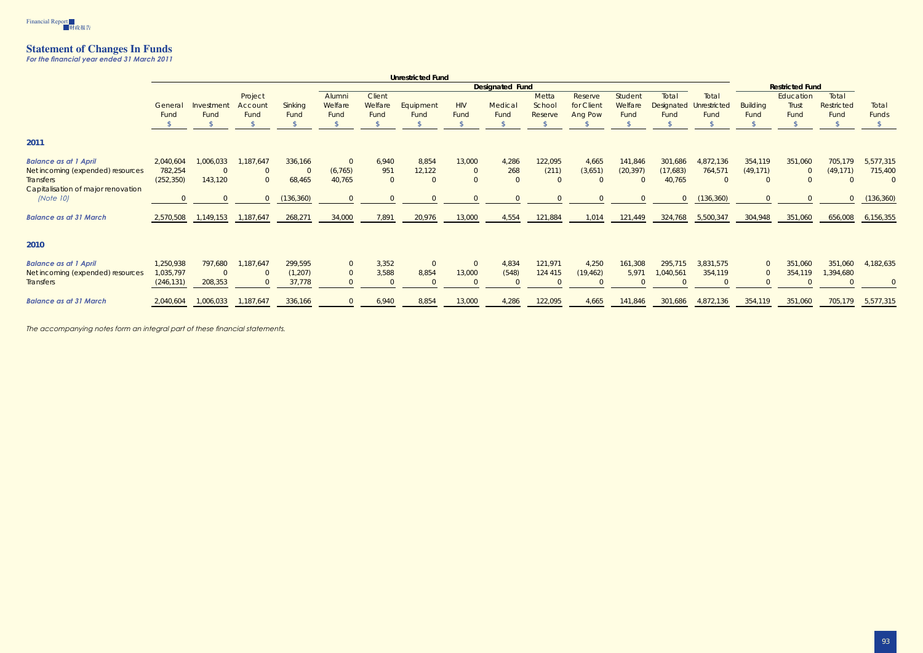

## **Statement of Changes In Funds**

*For the financial year ended 31 March 2011* 

|                                    | <b>Unrestricted Fund</b> |           |                |                |          |                |           |                |                        |         |            |           |                   |                |                 |                |            |            |
|------------------------------------|--------------------------|-----------|----------------|----------------|----------|----------------|-----------|----------------|------------------------|---------|------------|-----------|-------------------|----------------|-----------------|----------------|------------|------------|
|                                    | <b>Designated Fund</b>   |           |                |                |          |                |           |                | <b>Restricted Fund</b> |         |            |           |                   |                |                 |                |            |            |
|                                    |                          |           | Project        |                | Alumni   | Client         |           |                |                        | Metta   | Reserve    | Student   | Total             | Total          |                 | Education      | Total      |            |
|                                    | General                  | Investmen | Accoun         | Sinking        | Welfare  | Welfare        | Equipment | <b>HIV</b>     | Medical                | School  | for Client | Welfare   | <b>Designated</b> | Unrestricted   | <b>Building</b> | Trust          | Restricted | Total      |
|                                    | Fund                     | Fund      | Fund           | Fund           | Fund     | Fund           | Fund      | Fund           | Fund                   | Reserve | Ang Pow    | Fund      | Fund              | Fund           | Fund            | Fund           | Fund       | Funds      |
|                                    |                          |           |                |                |          |                |           |                |                        |         |            |           |                   |                |                 |                |            |            |
| 2011                               |                          |           |                |                |          |                |           |                |                        |         |            |           |                   |                |                 |                |            |            |
| <b>Balance as at 1 April</b>       | 2,040,604                | 1,006,033 | 1,187,647      | 336,166        |          | 6,940          | 8,854     | 13,000         | 4,286                  | 122,095 | 4,665      | 141,846   | 301,686           | 4,872,136      | 354,119         | 351,060        | 705,179    | 5,577,315  |
| Net incoming (expended) resources  | 782,254                  |           | $\overline{0}$ | $\overline{0}$ | (6, 765) | 951            | 12,122    | $\overline{0}$ | 268                    | (211)   | (3,651)    | (20, 397) | (17,683)          | 764,571        | (49, 171)       | $\overline{0}$ | (49, 171)  | 715,400    |
| <b>Transfers</b>                   | (252, 350)               | 143,120   | $\overline{0}$ | 68,465         | 40,765   | $\overline{0}$ | $\Omega$  | $\overline{0}$ | $\overline{0}$         |         |            | $\Omega$  | 40,765            | $\overline{0}$ |                 |                |            | $\Omega$   |
| Capitalisation of major renovation |                          |           |                |                |          |                |           |                |                        |         |            |           |                   |                |                 |                |            |            |
| <i>(Note 10)</i>                   |                          |           | $\overline{0}$ | (136, 360)     |          |                | $\Omega$  | $\Omega$       | $\Omega$               |         |            | $\Omega$  | $\overline{0}$    | (136, 360)     |                 |                |            | (136, 360) |
| <b>Balance as at 31 March</b>      | 2,570,508                | 1,149,153 | 1,187,647      | 268,271        | 34,000   | 7,891          | 20,976    | 13,000         | 4,554                  | 121,884 | 1,014      | 121,449   | 324,768           | 5,500,347      | 304,948         | 351,060        | 656,008    | 6,156,355  |
| 2010                               |                          |           |                |                |          |                |           |                |                        |         |            |           |                   |                |                 |                |            |            |
| <b>Balance as at 1 April</b>       | 1,250,938                | 797,680   | 1,187,647      | 299,595        |          | 3,352          | $\Omega$  | $\overline{0}$ | 4,834                  | 121,971 | 4,250      | 161,308   | 295,715           | 3,831,575      | $\Omega$        | 351,060        | 351,060    | 4,182,635  |
| Net incoming (expended) resources  | 1,035,797                |           |                | (1, 207)       |          | 3,588          | 8,854     | 13,000         | (548)                  | 124 415 | (19, 462)  | 5,971     | ,040,561          | 354,119        |                 | 354,119        | 1,394,680  |            |
| <b>Transfers</b>                   | (246, 131)               | 208,353   | $\Omega$       | 37,778         |          | $\Omega$       | $\Omega$  | $\Omega$       | $\Omega$               |         |            | $\Omega$  | $\Omega$          | $\Omega$       |                 |                |            |            |
| <b>Balance as at 31 March</b>      | 2,040,604                | 1,006,033 | 1,187,647      | 336,166        |          | 6,940          | 8,854     | 13,000         | 4,286                  | 122,095 | 4,665      | 141,846   | 301,686           | 4,872,136      | 354,119         | 351,060        | 705,179    | 5,577,315  |
|                                    |                          |           |                |                |          |                |           |                |                        |         |            |           |                   |                |                 |                |            |            |

*The accompanying notes form an integral part of these financial statements.*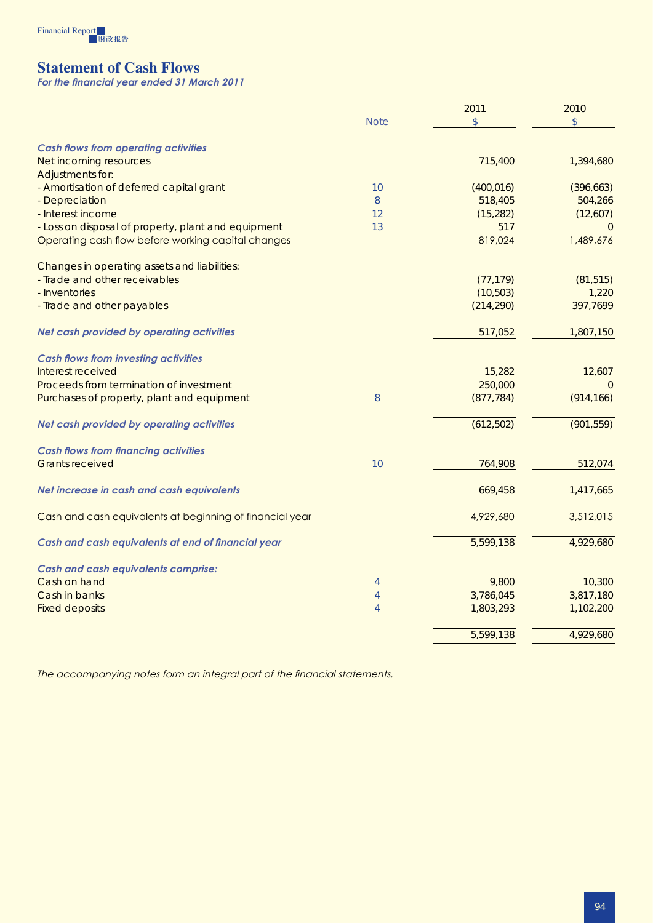

# **Statement of Cash Flows**

*For the financial year ended 31 March 2011* 

|                                                          |                | 2011       | 2010           |
|----------------------------------------------------------|----------------|------------|----------------|
|                                                          | <b>Note</b>    | \$         | \$             |
| <b>Cash flows from operating activities</b>              |                |            |                |
| Net incoming resources                                   |                | 715,400    | 1,394,680      |
| <b>Adjustments for:</b>                                  |                |            |                |
| - Amortisation of deferred capital grant                 | 10             | (400, 016) | (396, 663)     |
| - Depreciation                                           | 8              | 518,405    | 504,266        |
| - Interest income                                        | 12             | (15, 282)  | (12,607)       |
| - Loss on disposal of property, plant and equipment      | 13             | 517        | $\overline{0}$ |
| Operating cash flow before working capital changes       |                | 819,024    | 1,489,676      |
| Changes in operating assets and liabilities:             |                |            |                |
| - Trade and other receivables                            |                | (77, 179)  | (81, 515)      |
| - Inventories                                            |                | (10, 503)  | 1,220          |
| - Trade and other payables                               |                | (214, 290) | 397,7699       |
| Net cash provided by operating activities                |                | 517,052    | 1,807,150      |
| <b>Cash flows from investing activities</b>              |                |            |                |
| Interest received                                        |                | 15,282     | 12,607         |
| Proceeds from termination of investment                  |                | 250,000    | $\Omega$       |
| Purchases of property, plant and equipment               | 8              | (877, 784) | (914, 166)     |
| Net cash provided by operating activities                |                | (612, 502) | (901, 559)     |
| <b>Cash flows from financing activities</b>              |                |            |                |
| <b>Grants received</b>                                   | 10             | 764,908    | 512,074        |
| Net increase in cash and cash equivalents                |                | 669,458    | 1,417,665      |
| Cash and cash equivalents at beginning of financial year |                | 4,929,680  | 3,512,015      |
| Cash and cash equivalents at end of financial year       |                | 5,599,138  | 4,929,680      |
| <b>Cash and cash equivalents comprise:</b>               |                |            |                |
| Cash on hand                                             | 4              | 9,800      | 10,300         |
| Cash in banks                                            | $\overline{4}$ | 3,786,045  | 3,817,180      |
| <b>Fixed deposits</b>                                    | $\overline{4}$ | 1,803,293  | 1,102,200      |
|                                                          |                | 5,599,138  | 4,929,680      |

*The accompanying notes form an integral part of the financial statements.*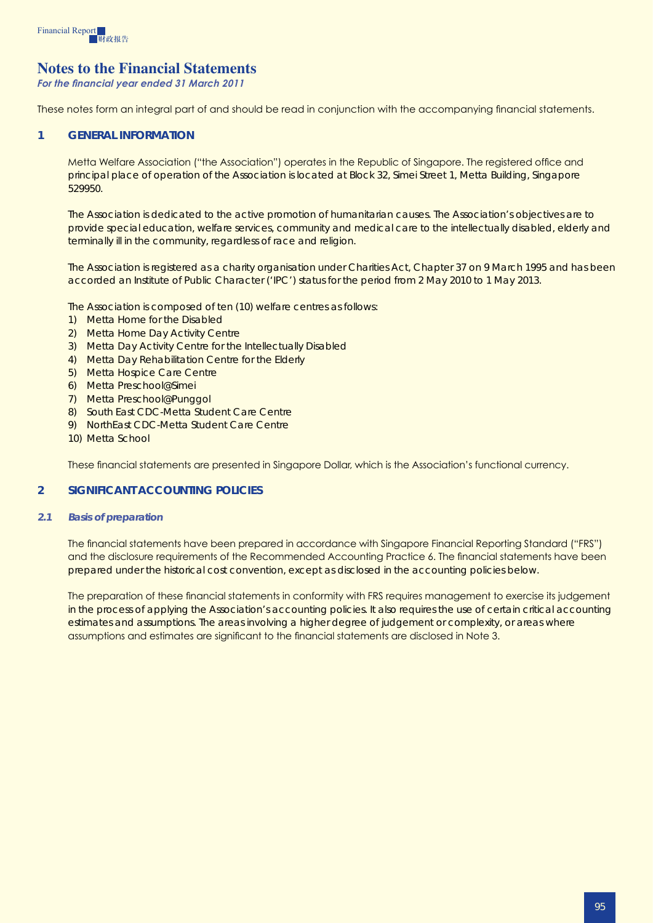

## **Notes to the Financial Statements**

*For the financial year ended 31 March 2011* 

These notes form an integral part of and should be read in conjunction with the accompanying financial statements.

#### **1 GENERAL INFORMATION**

Metta Welfare Association ("the Association") operates in the Republic of Singapore. The registered office and principal place of operation of the Association is located at Block 32, Simei Street 1, Metta Building, Singapore 529950.

The Association is dedicated to the active promotion of humanitarian causes. The Association's objectives are to provide special education, welfare services, community and medical care to the intellectually disabled, elderly and terminally ill in the community, regardless of race and religion.

The Association is registered as a charity organisation under Charities Act, Chapter 37 on 9 March 1995 and has been accorded an Institute of Public Character ('IPC') status for the period from 2 May 2010 to 1 May 2013.

The Association is composed of ten (10) welfare centres as follows:

- 1) Metta Home for the Disabled
- 2) Metta Home Day Activity Centre
- 3) Metta Day Activity Centre for the Intellectually Disabled
- 4) Metta Day Rehabilitation Centre for the Elderly
- 5) Metta Hospice Care Centre
- 6) Metta Preschool@Simei
- 7) Metta Preschool@Punggol
- 8) South East CDC-Metta Student Care Centre
- 9) NorthEast CDC-Metta Student Care Centre
- 10) Metta School

These financial statements are presented in Singapore Dollar, which is the Association's functional currency.

## **2 Significant accounting policies**

#### *2.1 Basis of preparation*

The financial statements have been prepared in accordance with Singapore Financial Reporting Standard ("FRS") and the disclosure requirements of the Recommended Accounting Practice 6. The financial statements have been prepared under the historical cost convention, except as disclosed in the accounting policies below.

The preparation of these financial statements in conformity with FRS requires management to exercise its judgement in the process of applying the Association's accounting policies. It also requires the use of certain critical accounting estimates and assumptions. The areas involving a higher degree of judgement or complexity, or areas where assumptions and estimates are significant to the financial statements are disclosed in Note 3.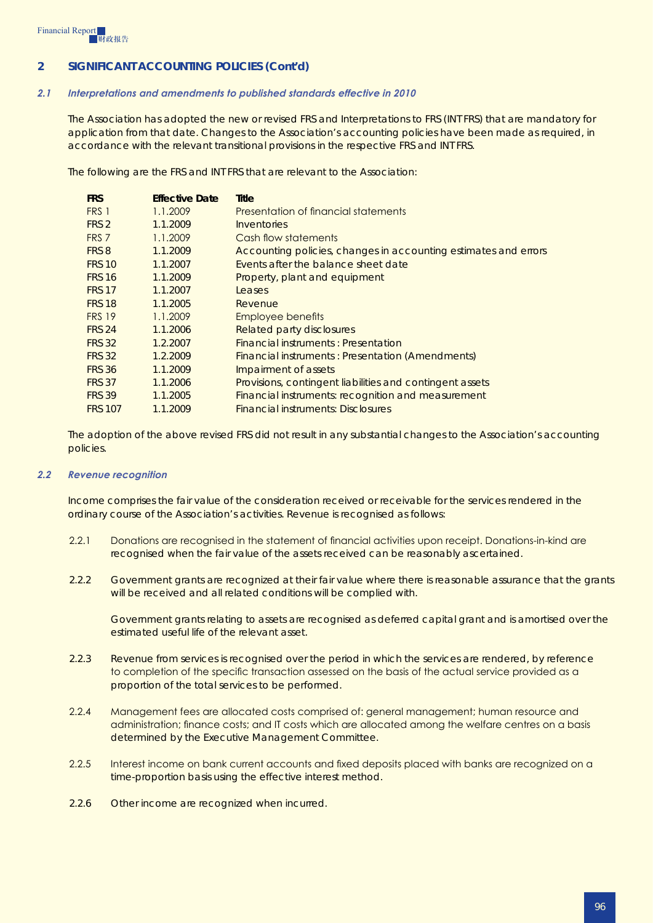#### *2.1 Interpretations and amendments to published standards effective in 2010*

The Association has adopted the new or revised FRS and Interpretations to FRS (INT FRS) that are mandatory for application from that date. Changes to the Association's accounting policies have been made as required, in accordance with the relevant transitional provisions in the respective FRS and INT FRS.

The following are the FRS and INT FRS that are relevant to the Association:

| <b>FRS</b>       | <b>Effective Date</b> | Title                                                           |
|------------------|-----------------------|-----------------------------------------------------------------|
| FRS 1            | 1.1.2009              | Presentation of financial statements                            |
| FRS <sub>2</sub> | 1.1.2009              | <i><u><b>Inventories</b></u></i>                                |
| FRS <sub>7</sub> | 1.1.2009              | Cash flow statements                                            |
| FRS 8            | 1.1.2009              | Accounting policies, changes in accounting estimates and errors |
| <b>FRS 10</b>    | 1.1.2007              | Events after the balance sheet date                             |
| <b>FRS 16</b>    | 1.1.2009              | Property, plant and equipment                                   |
| <b>FRS 17</b>    | 1.1.2007              | Leases                                                          |
| <b>FRS 18</b>    | 1.1.2005              | Revenue                                                         |
| <b>FRS 19</b>    | 1.1.2009              | <b>Employee benefits</b>                                        |
| <b>FRS 24</b>    | 1.1.2006              | <b>Related party disclosures</b>                                |
| <b>FRS 32</b>    | 1.2.2007              | Financial instruments: Presentation                             |
| <b>FRS 32</b>    | 1.2.2009              | <b>Financial instruments: Presentation (Amendments)</b>         |
| <b>FRS 36</b>    | 1.1.2009              | Impairment of assets                                            |
| <b>FRS 37</b>    | 1.1.2006              | Provisions, contingent liabilities and contingent assets        |
| <b>FRS 39</b>    | 1.1.2005              | Financial instruments: recognition and measurement              |
| <b>FRS 107</b>   | 1.1.2009              | <b>Financial instruments: Disclosures</b>                       |

The adoption of the above revised FRS did not result in any substantial changes to the Association's accounting policies.

#### *2.2 Revenue recognition*

Income comprises the fair value of the consideration received or receivable for the services rendered in the ordinary course of the Association's activities. Revenue is recognised as follows:

- 2.2.1 Donations are recognised in the statement of financial activities upon receipt. Donations-in-kind are recognised when the fair value of the assets received can be reasonably ascertained.
- 2.2.2 Government grants are recognized at their fair value where there is reasonable assurance that the grants will be received and all related conditions will be complied with.

Government grants relating to assets are recognised as deferred capital grant and is amortised over the estimated useful life of the relevant asset.

- 2.2.3 Revenue from services is recognised over the period in which the services are rendered, by reference to completion of the specific transaction assessed on the basis of the actual service provided as a proportion of the total services to be performed.
- 2.2.4 Management fees are allocated costs comprised of: general management; human resource and administration; finance costs; and IT costs which are allocated among the welfare centres on a basis determined by the Executive Management Committee.
- 2.2.5 Interest income on bank current accounts and fixed deposits placed with banks are recognized on a time-proportion basis using the effective interest method.
- 2.2.6 Other income are recognized when incurred.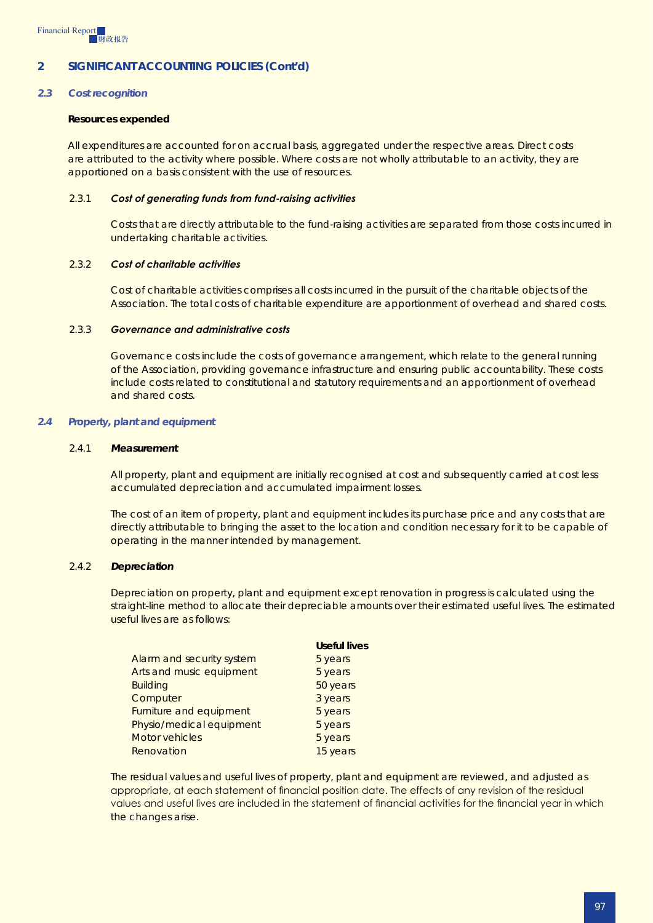#### *2.3 Cost recognition*

#### **Resources expended**

All expenditures are accounted for on accrual basis, aggregated under the respective areas. Direct costs are attributed to the activity where possible. Where costs are not wholly attributable to an activity, they are apportioned on a basis consistent with the use of resources.

#### 2.3.1 *Cost of generating funds from fund-raising activities*

Costs that are directly attributable to the fund-raising activities are separated from those costs incurred in undertaking charitable activities.

#### 2.3.2 *Cost of charitable activities*

Cost of charitable activities comprises all costs incurred in the pursuit of the charitable objects of the Association. The total costs of charitable expenditure are apportionment of overhead and shared costs.

#### 2.3.3 *Governance and administrative costs*

Governance costs include the costs of governance arrangement, which relate to the general running of the Association, providing governance infrastructure and ensuring public accountability. These costs include costs related to constitutional and statutory requirements and an apportionment of overhead and shared costs.

#### *2.4 Property, plant and equipment*

#### 2.4.1 *Measurement*

All property, plant and equipment are initially recognised at cost and subsequently carried at cost less accumulated depreciation and accumulated impairment losses.

The cost of an item of property, plant and equipment includes its purchase price and any costs that are directly attributable to bringing the asset to the location and condition necessary for it to be capable of operating in the manner intended by management.

#### 2.4.2 *Depreciation*

Depreciation on property, plant and equipment except renovation in progress is calculated using the straight-line method to allocate their depreciable amounts over their estimated useful lives. The estimated useful lives are as follows:

|                           | <b>Useful lives</b> |
|---------------------------|---------------------|
| Alarm and security system | 5 years             |
| Arts and music equipment  | 5 years             |
| <b>Building</b>           | 50 years            |
| Computer                  | 3 years             |
| Furniture and equipment   | 5 years             |
| Physio/medical equipment  | 5 years             |
| <b>Motor vehicles</b>     | 5 years             |
| Renovation                | 15 years            |
|                           |                     |

The residual values and useful lives of property, plant and equipment are reviewed, and adjusted as appropriate, at each statement of financial position date. The effects of any revision of the residual values and useful lives are included in the statement of financial activities for the financial year in which the changes arise.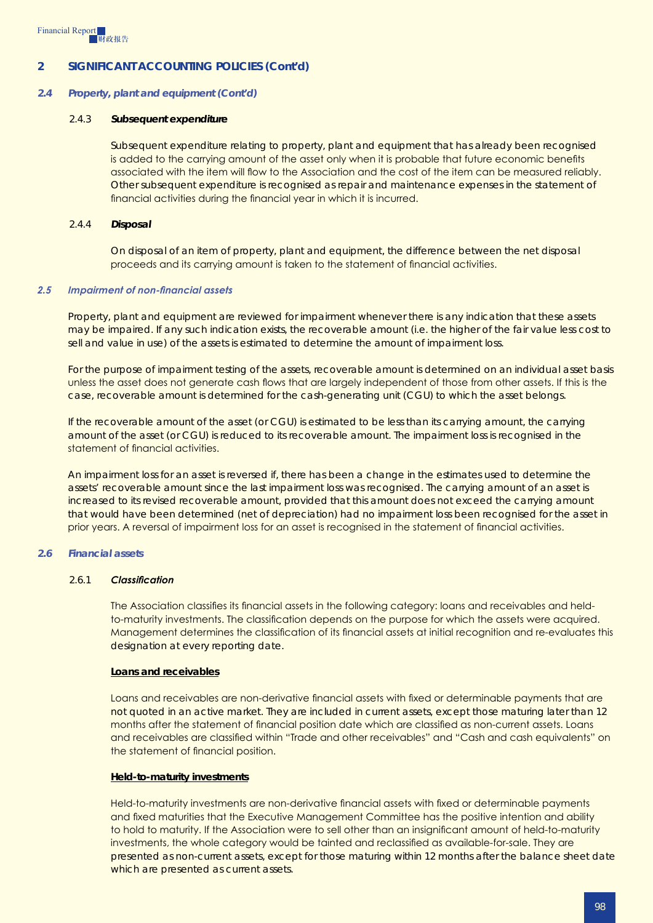#### *2.4 Property, plant and equipment (Cont'd)*

#### 2.4.3 *Subsequent expenditure*

Subsequent expenditure relating to property, plant and equipment that has already been recognised is added to the carrying amount of the asset only when it is probable that future economic benefits associated with the item will flow to the Association and the cost of the item can be measured reliably. Other subsequent expenditure is recognised as repair and maintenance expenses in the statement of financial activities during the financial year in which it is incurred.

#### 2.4.4 *Disposal*

On disposal of an item of property, plant and equipment, the difference between the net disposal proceeds and its carrying amount is taken to the statement of financial activities.

#### *2.5 Impairment of non-financial assets*

Property, plant and equipment are reviewed for impairment whenever there is any indication that these assets may be impaired. If any such indication exists, the recoverable amount (i.e. the higher of the fair value less cost to sell and value in use) of the assets is estimated to determine the amount of impairment loss.

For the purpose of impairment testing of the assets, recoverable amount is determined on an individual asset basis unless the asset does not generate cash flows that are largely independent of those from other assets. If this is the case, recoverable amount is determined for the cash-generating unit (CGU) to which the asset belongs.

If the recoverable amount of the asset (or CGU) is estimated to be less than its carrying amount, the carrying amount of the asset (or CGU) is reduced to its recoverable amount. The impairment loss is recognised in the statement of financial activities.

An impairment loss for an asset is reversed if, there has been a change in the estimates used to determine the assets' recoverable amount since the last impairment loss was recognised. The carrying amount of an asset is increased to its revised recoverable amount, provided that this amount does not exceed the carrying amount that would have been determined (net of depreciation) had no impairment loss been recognised for the asset in prior years. A reversal of impairment loss for an asset is recognised in the statement of financial activities.

#### *2.6 Financial assets*

#### 2.6.1 *Classification*

The Association classifies its financial assets in the following category: loans and receivables and heldto-maturity investments. The classification depends on the purpose for which the assets were acquired. Management determines the classification of its financial assets at initial recognition and re-evaluates this designation at every reporting date.

#### **Loans and receivables**

Loans and receivables are non-derivative financial assets with fixed or determinable payments that are not quoted in an active market. They are included in current assets, except those maturing later than 12 months after the statement of financial position date which are classified as non-current assets. Loans and receivables are classified within "Trade and other receivables" and "Cash and cash equivalents" on the statement of financial position.

#### **Held-to-maturity investments**

Held-to-maturity investments are non-derivative financial assets with fixed or determinable payments and fixed maturities that the Executive Management Committee has the positive intention and ability to hold to maturity. If the Association were to sell other than an insignificant amount of held-to-maturity investments, the whole category would be tainted and reclassified as available-for-sale. They are presented as non-current assets, except for those maturing within 12 months after the balance sheet date which are presented as current assets.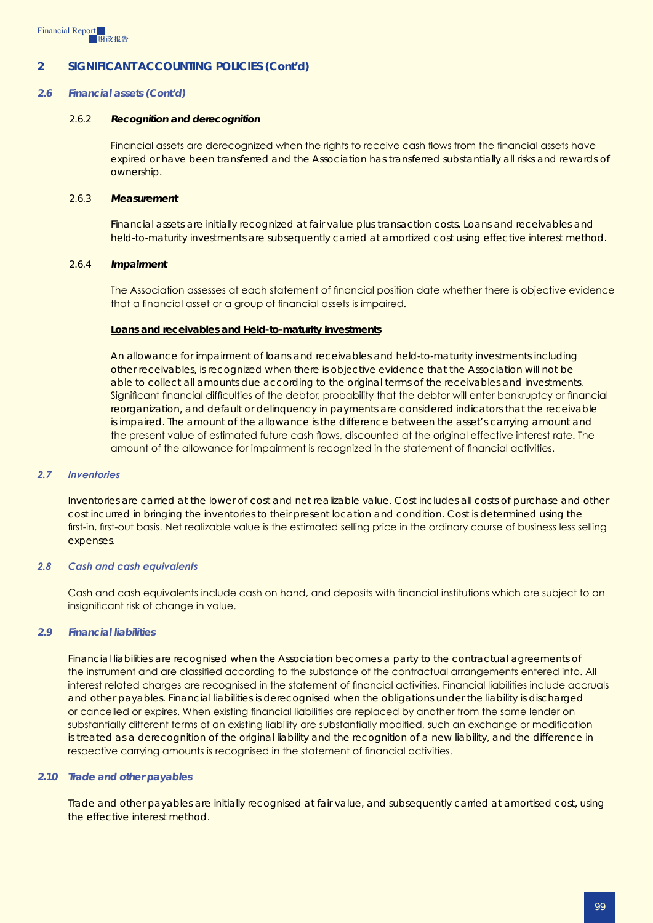#### *2.6 Financial assets (Cont'd)*

#### 2.6.2 *Recognition and derecognition*

Financial assets are derecognized when the rights to receive cash flows from the financial assets have expired or have been transferred and the Association has transferred substantially all risks and rewards of ownership.

#### 2.6.3 *Measurement*

Financial assets are initially recognized at fair value plus transaction costs. Loans and receivables and held-to-maturity investments are subsequently carried at amortized cost using effective interest method.

#### 2.6.4 *Impairment*

The Association assesses at each statement of financial position date whether there is objective evidence that a financial asset or a group of financial assets is impaired.

#### **Loans and receivables and Held-to-maturity investments**

An allowance for impairment of loans and receivables and held-to-maturity investments including other receivables, is recognized when there is objective evidence that the Association will not be able to collect all amounts due according to the original terms of the receivables and investments. Significant financial difficulties of the debtor, probability that the debtor will enter bankruptcy or financial reorganization, and default or delinquency in payments are considered indicators that the receivable is impaired. The amount of the allowance is the difference between the asset's carrying amount and the present value of estimated future cash flows, discounted at the original effective interest rate. The amount of the allowance for impairment is recognized in the statement of financial activities.

#### *2.7 Inventories*

Inventories are carried at the lower of cost and net realizable value. Cost includes all costs of purchase and other cost incurred in bringing the inventories to their present location and condition. Cost is determined using the first-in, first-out basis. Net realizable value is the estimated selling price in the ordinary course of business less selling expenses.

#### *2.8 Cash and cash equivalents*

Cash and cash equivalents include cash on hand, and deposits with financial institutions which are subject to an insignificant risk of change in value.

#### *2.9 Financial liabilities*

Financial liabilities are recognised when the Association becomes a party to the contractual agreements of the instrument and are classified according to the substance of the contractual arrangements entered into. All interest related charges are recognised in the statement of financial activities. Financial liabilities include accruals and other payables. Financial liabilities is derecognised when the obligations under the liability is discharged or cancelled or expires. When existing financial liabilities are replaced by another from the same lender on substantially different terms of an existing liability are substantially modified, such an exchange or modification is treated as a derecognition of the original liability and the recognition of a new liability, and the difference in respective carrying amounts is recognised in the statement of financial activities.

#### *2.10 Trade and other payables*

Trade and other payables are initially recognised at fair value, and subsequently carried at amortised cost, using the effective interest method.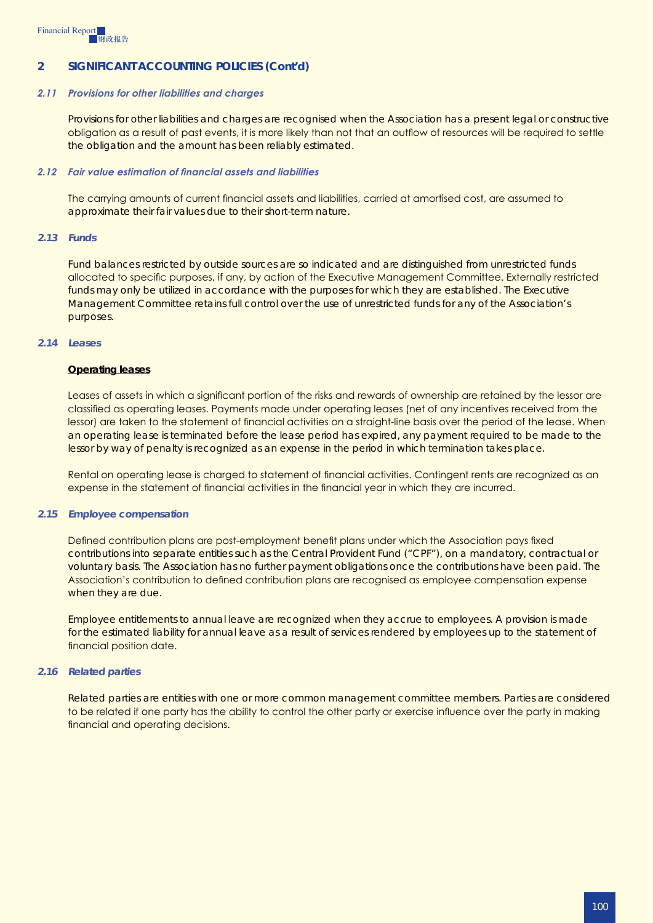#### *2.11 Provisions for other liabilities and charges*

Provisions for other liabilities and charges are recognised when the Association has a present legal or constructive obligation as a result of past events, it is more likely than not that an outflow of resources will be required to settle the obligation and the amount has been reliably estimated.

#### *2.12 Fair value estimation of financial assets and liabilities*

The carrying amounts of current financial assets and liabilities, carried at amortised cost, are assumed to approximate their fair values due to their short-term nature.

#### *2.13 Funds*

Fund balances restricted by outside sources are so indicated and are distinguished from unrestricted funds allocated to specific purposes, if any, by action of the Executive Management Committee. Externally restricted funds may only be utilized in accordance with the purposes for which they are established. The Executive Management Committee retains full control over the use of unrestricted funds for any of the Association's purposes.

#### *2.14 Leases*

#### **Operating leases**

Leases of assets in which a significant portion of the risks and rewards of ownership are retained by the lessor are classified as operating leases. Payments made under operating leases (net of any incentives received from the lessor) are taken to the statement of financial activities on a straight-line basis over the period of the lease. When an operating lease is terminated before the lease period has expired, any payment required to be made to the lessor by way of penalty is recognized as an expense in the period in which termination takes place.

Rental on operating lease is charged to statement of financial activities. Contingent rents are recognized as an expense in the statement of financial activities in the financial year in which they are incurred.

#### *2.15 Employee compensation*

Defined contribution plans are post-employment benefit plans under which the Association pays fixed contributions into separate entities such as the Central Provident Fund ("CPF"), on a mandatory, contractual or voluntary basis. The Association has no further payment obligations once the contributions have been paid. The Association's contribution to defined contribution plans are recognised as employee compensation expense when they are due.

Employee entitlements to annual leave are recognized when they accrue to employees. A provision is made for the estimated liability for annual leave as a result of services rendered by employees up to the statement of financial position date.

#### *2.16 Related parties*

Related parties are entities with one or more common management committee members. Parties are considered to be related if one party has the ability to control the other party or exercise influence over the party in making financial and operating decisions.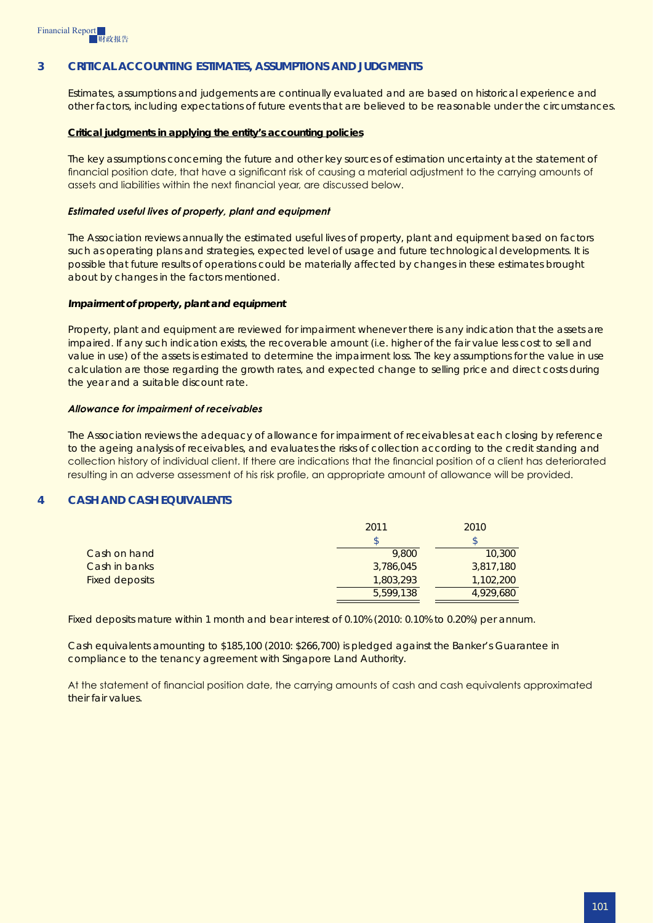## **3 Critical accounting estimates, assumptions and judgments**

Estimates, assumptions and judgements are continually evaluated and are based on historical experience and other factors, including expectations of future events that are believed to be reasonable under the circumstances.

#### **Critical judgments in applying the entity's accounting policies**

The key assumptions concerning the future and other key sources of estimation uncertainty at the statement of financial position date, that have a significant risk of causing a material adjustment to the carrying amounts of assets and liabilities within the next financial year, are discussed below.

#### *Estimated useful lives of property, plant and equipment*

The Association reviews annually the estimated useful lives of property, plant and equipment based on factors such as operating plans and strategies, expected level of usage and future technological developments. It is possible that future results of operations could be materially affected by changes in these estimates brought about by changes in the factors mentioned.

#### *Impairment of property, plant and equipment*

Property, plant and equipment are reviewed for impairment whenever there is any indication that the assets are impaired. If any such indication exists, the recoverable amount (i.e. higher of the fair value less cost to sell and value in use) of the assets is estimated to determine the impairment loss. The key assumptions for the value in use calculation are those regarding the growth rates, and expected change to selling price and direct costs during the year and a suitable discount rate.

#### *Allowance for impairment of receivables*

The Association reviews the adequacy of allowance for impairment of receivables at each closing by reference to the ageing analysis of receivables, and evaluates the risks of collection according to the credit standing and collection history of individual client. If there are indications that the financial position of a client has deteriorated resulting in an adverse assessment of his risk profile, an appropriate amount of allowance will be provided.

## **4 Cash and cash equivalents**

|                       | 2011      | 2010      |
|-----------------------|-----------|-----------|
|                       |           | \$        |
| Cash on hand          | 9,800     | 10,300    |
| Cash in banks         | 3,786,045 | 3,817,180 |
| <b>Fixed deposits</b> | 1,803,293 | 1,102,200 |
|                       | 5,599,138 | 4,929,680 |

Fixed deposits mature within 1 month and bear interest of 0.10% (2010: 0.10% to 0.20%) per annum.

Cash equivalents amounting to \$185,100 (2010: \$266,700) is pledged against the Banker's Guarantee in compliance to the tenancy agreement with Singapore Land Authority.

At the statement of financial position date, the carrying amounts of cash and cash equivalents approximated their fair values.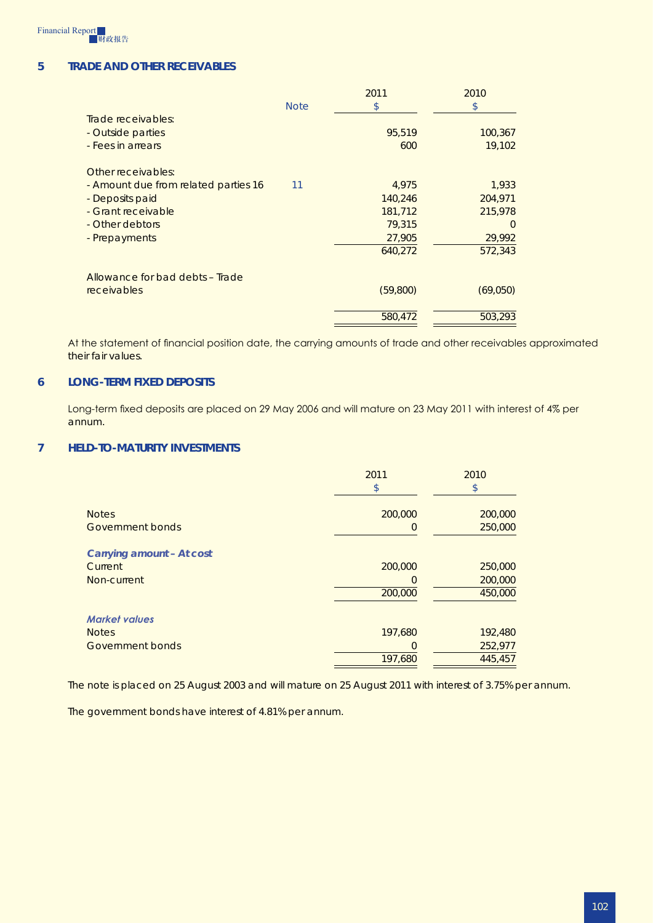

## **5 Trade and other receivables**

|                                      |             | 2011     | 2010     |
|--------------------------------------|-------------|----------|----------|
|                                      | <b>Note</b> | \$       | \$       |
| Trade receivables:                   |             |          |          |
| - Outside parties                    |             | 95,519   | 100,367  |
| - Fees in arrears                    |             | 600      | 19,102   |
| Other receivables:                   |             |          |          |
| - Amount due from related parties 16 | 11          | 4,975    | 1,933    |
| - Deposits paid                      |             | 140,246  | 204,971  |
| - Grant receivable                   |             | 181,712  | 215,978  |
| - Other debtors                      |             | 79,315   | $\Omega$ |
| - Prepayments                        |             | 27,905   | 29,992   |
|                                      |             | 640,272  | 572,343  |
| Allowance for bad debts - Trade      |             |          |          |
| <b>receivables</b>                   |             | (59,800) | (69,050) |
|                                      |             | 580,472  | 503,293  |

At the statement of financial position date, the carrying amounts of trade and other receivables approximated their fair values.

## **6 Long-term fixed deposits**

Long-term fixed deposits are placed on 29 May 2006 and will mature on 23 May 2011 with interest of 4% per annum.

## **7 Held-to-maturity investments**

|                           | 2011<br>\$ | 2010<br>\$ |
|---------------------------|------------|------------|
| <b>Notes</b>              | 200,000    | 200,000    |
| Government bonds          | 0          | 250,000    |
| Carrying amount - At cost |            |            |
| Current                   | 200,000    | 250,000    |
| Non-current               | $\Omega$   | 200,000    |
|                           | 200,000    | 450,000    |
| <b>Market values</b>      |            |            |
| <b>Notes</b>              | 197,680    | 192,480    |
| Government bonds          |            | 252,977    |
|                           | 197,680    | 445,457    |

The note is placed on 25 August 2003 and will mature on 25 August 2011 with interest of 3.75% per annum.

The government bonds have interest of 4.81% per annum.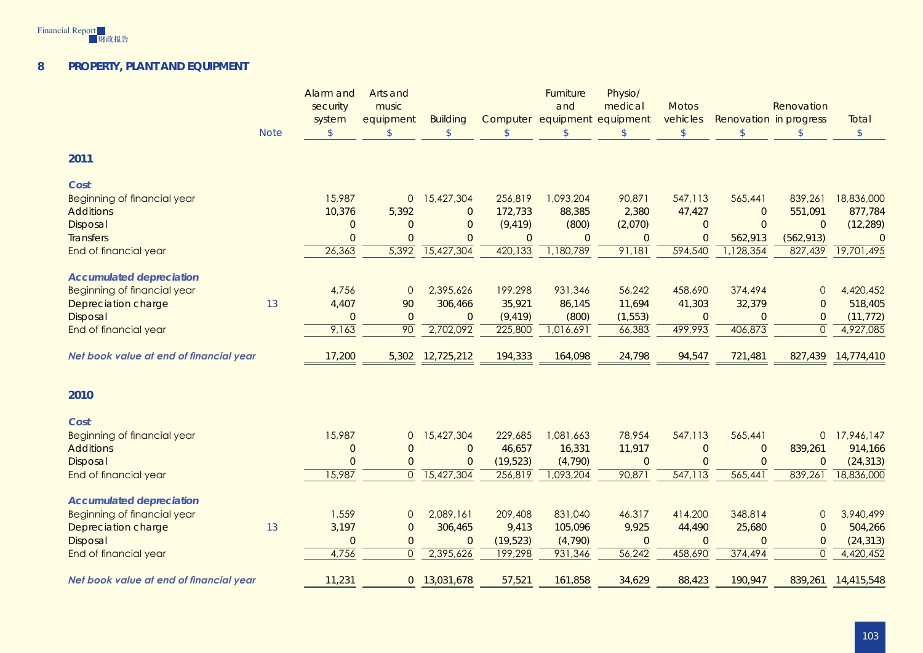

#### **8Property, plant and equipment**

| <b>Note</b>                             | Alarm and<br>security<br>system<br>$\mathsf{\$}$ | Arts and<br>music<br>equipment<br>$\mathcal{S}$ | <b>Building</b><br>$\mathsf{\$}$ | $\mathcal{S}$  | Furniture<br>and<br>$\mathcal{S}$ | Physio/<br>medical<br>Computer equipment equipment<br>$\mathcal{L}$ | <b>Motos</b><br>vehicles<br>$\frac{1}{2}$ | Renovation in progress<br>$\mathcal{S}$ | Renovation<br>$\mathcal{S}$ | Total<br>$\sqrt$ |
|-----------------------------------------|--------------------------------------------------|-------------------------------------------------|----------------------------------|----------------|-----------------------------------|---------------------------------------------------------------------|-------------------------------------------|-----------------------------------------|-----------------------------|------------------|
| 2011                                    |                                                  |                                                 |                                  |                |                                   |                                                                     |                                           |                                         |                             |                  |
| Cost                                    |                                                  |                                                 |                                  |                |                                   |                                                                     |                                           |                                         |                             |                  |
| <b>Beginning of financial year</b>      | 15,987                                           | $\mathbf{0}$                                    | 15,427,304                       | 256,819        | 1,093,204                         | 90,871                                                              | 547,113                                   | 565,441                                 | 839,261                     | 18,836,000       |
| <b>Additions</b>                        | 10,376                                           | 5,392                                           | $\overline{0}$                   | 172,733        | 88,385                            | 2,380                                                               | 47,427                                    | $\overline{0}$                          | 551,091                     | 877,784          |
| Disposal                                | $\overline{0}$                                   | $\Omega$                                        | $\Omega$                         | (9, 419)       | (800)                             | (2,070)                                                             | $\overline{0}$                            | $\overline{0}$                          | $\overline{0}$              | (12, 289)        |
| <b>Transfers</b>                        | $\overline{0}$                                   | $\Omega$                                        | $\overline{0}$                   | $\overline{0}$ | $\overline{0}$                    | $\overline{0}$                                                      | $\overline{0}$                            | 562,913                                 | (562, 913)                  | $\overline{0}$   |
| End of financial year                   | 26,363                                           | 5,392                                           | 15,427,304                       | 420,133        | 1,180,789                         | 91,181                                                              | 594,540                                   | 1,128,354                               | 827,439                     | 19,701,495       |
| <b>Accumulated depreciation</b>         |                                                  |                                                 |                                  |                |                                   |                                                                     |                                           |                                         |                             |                  |
| <b>Beginning of financial year</b>      | 4,756                                            | $\mathbf{0}$                                    | 2,395,626                        | 199,298        | 931,346                           | 56,242                                                              | 458,690                                   | 374,494                                 | $\mathbf 0$                 | 4,420,452        |
| Depreciation charge<br>13               | 4,407                                            | 90                                              | 306,466                          | 35,921         | 86,145                            | 11,694                                                              | 41,303                                    | 32,379                                  | $\Omega$                    | 518,405          |
| Disposal                                | $\overline{0}$                                   | $\overline{0}$                                  | $\overline{0}$                   | (9, 419)       | (800)                             | (1, 553)                                                            | $\overline{0}$                            | $\overline{0}$                          | $\overline{0}$              | (11, 772)        |
| End of financial year                   | 9,163                                            | 90                                              | 2,702,092                        | 225,800        | 1,016,691                         | 66,383                                                              | 499,993                                   | 406,873                                 | $\overline{O}$              | 4,927,085        |
|                                         |                                                  |                                                 |                                  |                |                                   |                                                                     |                                           |                                         |                             |                  |
| Net book value at end of financial year | 17,200                                           | 5,302                                           | 12,725,212                       | 194,333        | 164,098                           | 24,798                                                              | 94,547                                    | 721,481                                 | 827,439                     | 14,774,410       |
|                                         |                                                  |                                                 |                                  |                |                                   |                                                                     |                                           |                                         |                             |                  |
| 2010                                    |                                                  |                                                 |                                  |                |                                   |                                                                     |                                           |                                         |                             |                  |
| Cost                                    |                                                  |                                                 |                                  |                |                                   |                                                                     |                                           |                                         |                             |                  |
| <b>Beginning of financial year</b>      | 15,987                                           | $\mathsf{O}\xspace$                             | 15,427,304                       | 229,685        | 1,081,663                         | 78,954                                                              | 547,113                                   | 565,441                                 | $\overline{O}$              | 17,946,147       |
| <b>Additions</b>                        | $\overline{0}$                                   | $\overline{0}$                                  | $\overline{O}$                   | 46,657         | 16,331                            | 11,917                                                              | $\overline{0}$                            | $\overline{0}$                          | 839,261                     | 914,166          |
| Disposal                                | $\overline{0}$                                   | $\overline{0}$                                  | $\mathbf 0$                      | (19, 523)      | (4,790)                           | $\overline{0}$                                                      | $\overline{0}$                            | $\overline{0}$                          | $\mathbf 0$                 | (24, 313)        |
| End of financial year                   | 15,987                                           | $\mathbf{0}$                                    | 15,427,304                       | 256,819        | 1,093,204                         | 90,871                                                              | 547,113                                   | 565,441                                 | 839,261                     | 18,836,000       |
|                                         |                                                  |                                                 |                                  |                |                                   |                                                                     |                                           |                                         |                             |                  |
| <b>Accumulated depreciation</b>         |                                                  |                                                 |                                  |                |                                   |                                                                     |                                           |                                         |                             |                  |
| <b>Beginning of financial year</b>      | 1,559                                            | $\mathsf{O}\xspace$                             | 2,089,161                        | 209,408        | 831,040                           | 46,317                                                              | 414,200                                   | 348,814                                 | $\mathsf{O}\xspace$         | 3,940,499        |
| Depreciation charge<br>13               | 3,197                                            | $\mathbf 0$                                     | 306,465                          | 9,413          | 105,096                           | 9,925                                                               | 44,490                                    | 25,680                                  | $\overline{O}$              | 504,266          |
| Disposal                                | $\overline{0}$                                   | $\overline{0}$                                  | $\mathbf 0$                      | (19, 523)      | (4, 790)                          | $\overline{0}$                                                      | $\overline{0}$                            | $\overline{0}$                          | $\mathbf 0$                 | (24, 313)        |
| End of financial year                   | 4,756                                            | $\mathbf{0}$                                    | 2,395,626                        | 199,298        | 931,346                           | 56,242                                                              | 458,690                                   | 374,494                                 | $\overline{0}$              | 4,420,452        |
| Net book value at end of financial year | 11,231                                           | $\overline{0}$                                  | 13,031,678                       | 57,521         | 161,858                           | 34,629                                                              | 88,423                                    | 190,947                                 | 839,261                     | 14,415,548       |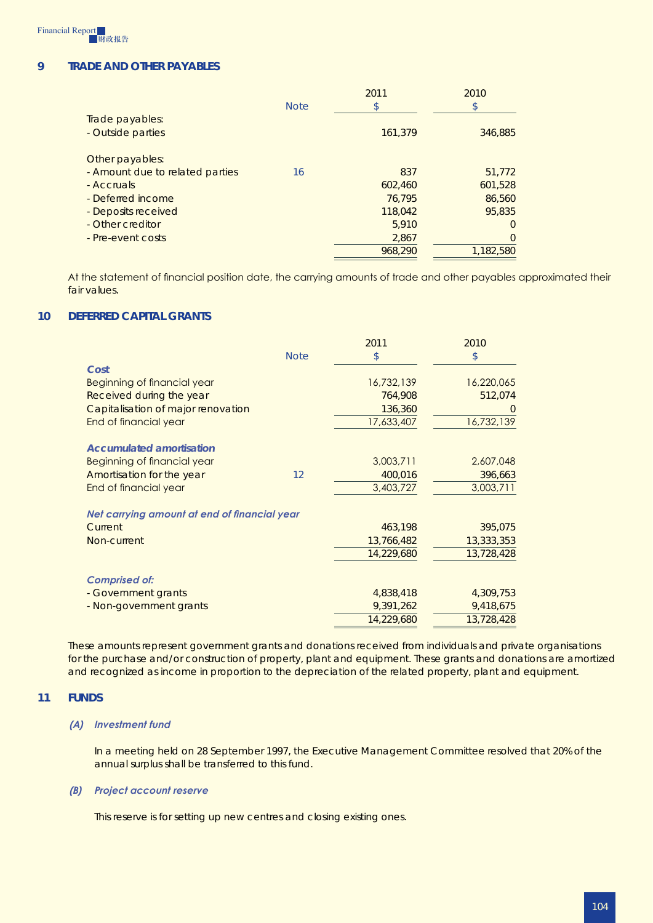

## **9 TRADE AND OTHER PayaBLES**

|                                 |             | 2011    | 2010           |
|---------------------------------|-------------|---------|----------------|
|                                 | <b>Note</b> | \$      | \$             |
| Trade payables:                 |             |         |                |
| - Outside parties               |             | 161,379 | 346,885        |
|                                 |             |         |                |
| Other payables:                 |             |         |                |
| - Amount due to related parties | 16          | 837     | 51,772         |
| - Accruals                      |             | 602,460 | 601,528        |
| - Deferred income               |             | 76,795  | 86,560         |
| - Deposits received             |             | 118,042 | 95,835         |
| - Other creditor                |             | 5,910   | $\Omega$       |
| - Pre-event costs               |             | 2,867   | $\overline{0}$ |
|                                 |             | 968,290 | 1,182,580      |
|                                 |             |         |                |

At the statement of financial position date, the carrying amounts of trade and other payables approximated their fair values.

#### **10 Deferred capital grants**

|                                              |             | 2011       | 2010       |
|----------------------------------------------|-------------|------------|------------|
|                                              | <b>Note</b> | \$         | \$         |
| Cost                                         |             |            |            |
| Beginning of financial year                  |             | 16,732,139 | 16,220,065 |
| Received during the year                     |             | 764,908    | 512,074    |
| Capitalisation of major renovation           |             | 136,360    | $\Omega$   |
| End of financial year                        |             | 17,633,407 | 16,732,139 |
| <b>Accumulated amortisation</b>              |             |            |            |
| Beginning of financial year                  |             | 3,003,711  | 2,607,048  |
| Amortisation for the year                    | 12          | 400,016    | 396,663    |
| End of financial year                        |             | 3,403,727  | 3,003,711  |
| Net carrying amount at end of financial year |             |            |            |
| Current                                      |             | 463,198    | 395,075    |
| Non-current                                  |             | 13,766,482 | 13,333,353 |
|                                              |             | 14,229,680 | 13,728,428 |
| <b>Comprised of:</b>                         |             |            |            |
| - Government grants                          |             | 4,838,418  | 4,309,753  |
| - Non-government grants                      |             | 9,391,262  | 9,418,675  |
|                                              |             | 14,229,680 | 13,728,428 |

These amounts represent government grants and donations received from individuals and private organisations for the purchase and/or construction of property, plant and equipment. These grants and donations are amortized and recognized as income in proportion to the depreciation of the related property, plant and equipment.

#### **11 Funds**

#### *(A) Investment fund*

In a meeting held on 28 September 1997, the Executive Management Committee resolved that 20% of the annual surplus shall be transferred to this fund.

#### *(B) Project account reserve*

This reserve is for setting up new centres and closing existing ones.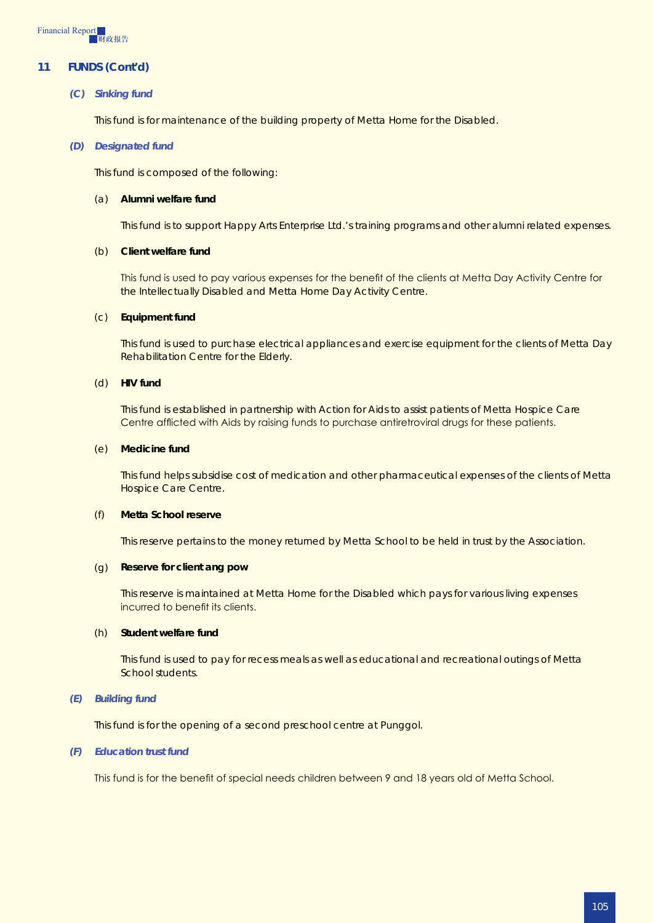

## **11 Funds (Cont'd)**

#### *(C) Sinking fund*

This fund is for maintenance of the building property of Metta Home for the Disabled.

#### *(D) Designated fund*

This fund is composed of the following:

#### (a) **Alumni welfare fund**

This fund is to support Happy Arts Enterprise Ltd.'s training programs and other alumni related expenses.

#### (b) **Client welfare fund**

This fund is used to pay various expenses for the benefit of the clients at Metta Day Activity Centre for the Intellectually Disabled and Metta Home Day Activity Centre.

#### (c) **Equipment fund**

This fund is used to purchase electrical appliances and exercise equipment for the clients of Metta Day Rehabilitation Centre for the Elderly.

#### (d) **HIV fund**

This fund is established in partnership with Action for Aids to assist patients of Metta Hospice Care Centre afflicted with Aids by raising funds to purchase antiretroviral drugs for these patients.

#### (e) **Medicine fund**

This fund helps subsidise cost of medication and other pharmaceutical expenses of the clients of Metta Hospice Care Centre.

#### (f) **Metta School reserve**

This reserve pertains to the money returned by Metta School to be held in trust by the Association.

#### (g) **Reserve for client ang pow**

This reserve is maintained at Metta Home for the Disabled which pays for various living expenses incurred to benefit its clients.

#### (h) **Student welfare fund**

This fund is used to pay for recess meals as well as educational and recreational outings of Metta School students.

#### *(E) Building fund*

This fund is for the opening of a second preschool centre at Punggol.

#### *(F) Education trust fund*

This fund is for the benefit of special needs children between 9 and 18 years old of Metta School.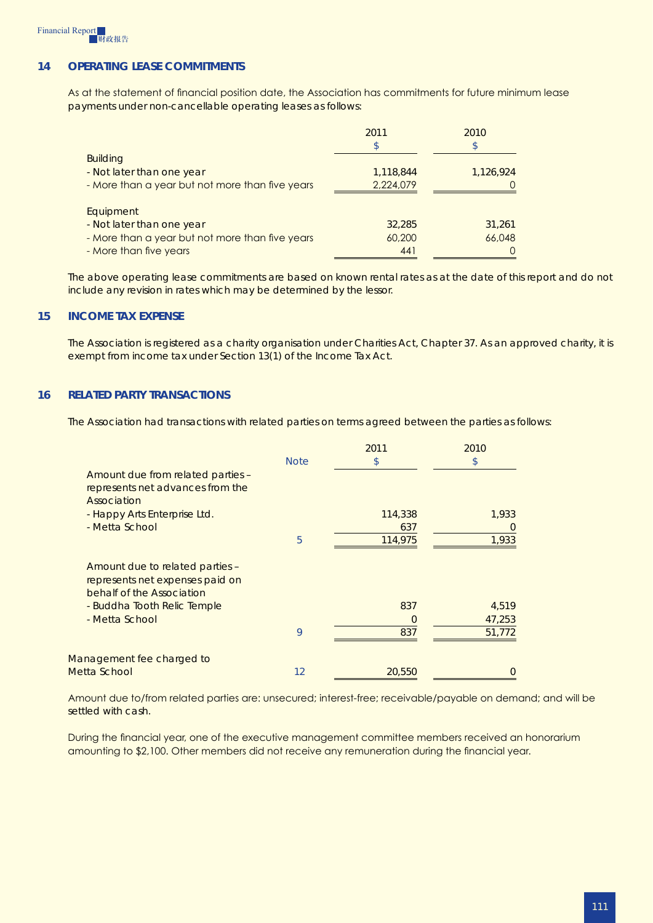

## **14 Operating lease commitments**

As at the statement of financial position date, the Association has commitments for future minimum lease payments under non-cancellable operating leases as follows:

|                                                 | 2011      | 2010      |
|-------------------------------------------------|-----------|-----------|
|                                                 | \$        | \$        |
| <b>Building</b>                                 |           |           |
| - Not later than one year                       | 1,118,844 | 1,126,924 |
| - More than a year but not more than five years | 2,224,079 |           |
| Equipment                                       |           |           |
| - Not later than one year                       | 32,285    | 31,261    |
| - More than a year but not more than five years | 60,200    | 66,048    |
| - More than five years                          | 441       |           |

The above operating lease commitments are based on known rental rates as at the date of this report and do not include any revision in rates which may be determined by the lessor.

#### **15 Income tax expense**

The Association is registered as a charity organisation under Charities Act, Chapter 37. As an approved charity, it is exempt from income tax under Section 13(1) of the Income Tax Act.

## **16 Related party transactions**

The Association had transactions with related parties on terms agreed between the parties as follows:

|                                                                                                 |             | 2011    | 2010           |
|-------------------------------------------------------------------------------------------------|-------------|---------|----------------|
|                                                                                                 | <b>Note</b> | \$      | \$             |
| Amount due from related parties -<br>represents net advances from the<br>Association            |             |         |                |
| - Happy Arts Enterprise Ltd.                                                                    |             | 114,338 | 1,933          |
| - Metta School                                                                                  |             | 637     | $\overline{0}$ |
|                                                                                                 | 5           | 114,975 | 1,933          |
| Amount due to related parties -<br>represents net expenses paid on<br>behalf of the Association |             |         |                |
| - Buddha Tooth Relic Temple                                                                     |             | 837     | 4,519          |
| - Metta School                                                                                  |             | 0       | 47,253         |
|                                                                                                 | 9           | 837     | 51,772         |
| Management fee charged to                                                                       |             |         |                |
| Metta School                                                                                    | 12          | 20,550  | $\Omega$       |

Amount due to/from related parties are: unsecured; interest-free; receivable/payable on demand; and will be settled with cash.

During the financial year, one of the executive management committee members received an honorarium amounting to \$2,100. Other members did not receive any remuneration during the financial year.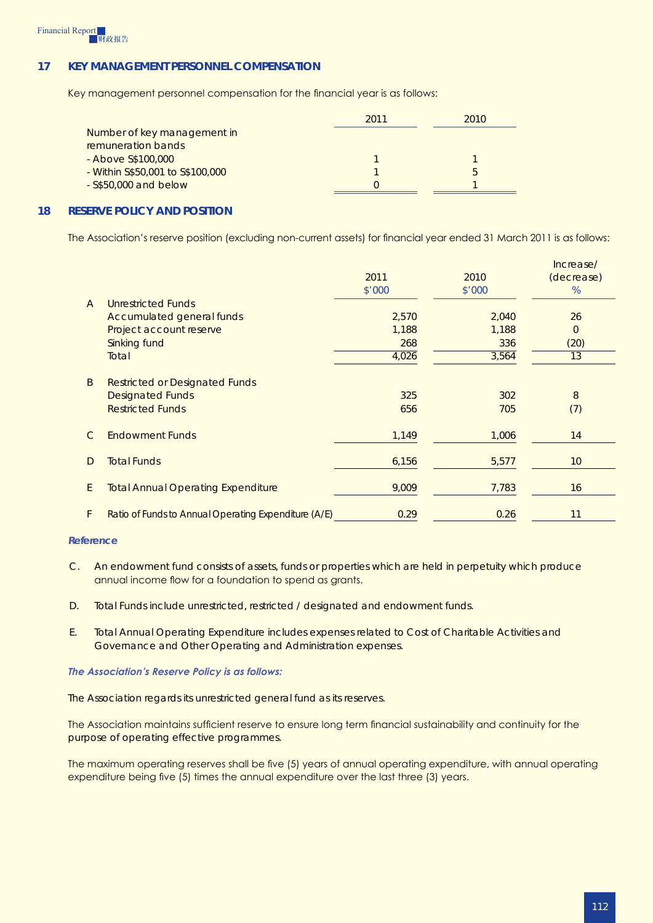## **17 Key management personnel compensation**

Key management personnel compensation for the financial year is as follows:

|                                  | 2011 | 2010 |
|----------------------------------|------|------|
| Number of key management in      |      |      |
| remuneration bands               |      |      |
| - Above S\$100,000               |      |      |
| - Within S\$50,001 to S\$100,000 |      |      |
| $-$ S\$50,000 and below          |      |      |

## **18 Reserve policy and position**

The Association's reserve position (excluding non-current assets) for financial year ended 31 March 2011 is as follows:

|                |                                                      |        |        | Increase/       |
|----------------|------------------------------------------------------|--------|--------|-----------------|
|                |                                                      | 2011   | 2010   | (decrease)      |
|                |                                                      | \$'000 | \$'000 | %               |
| $\overline{A}$ | Unrestricted Funds                                   |        |        |                 |
|                | Accumulated general funds                            | 2,570  | 2,040  | 26              |
|                | Project account reserve                              | 1,188  | 1,188  | $\overline{0}$  |
|                | Sinking fund                                         | 268    | 336    | (20)            |
|                | Total                                                | 4,026  | 3,564  | 13              |
| B              | <b>Restricted or Designated Funds</b>                |        |        |                 |
|                | <b>Designated Funds</b>                              | 325    | 302    | 8               |
|                | <b>Restricted Funds</b>                              | 656    | 705    | (7)             |
| $\mathsf{C}$   | <b>Endowment Funds</b>                               | 1,149  | 1,006  | 14              |
| D              | <b>Total Funds</b>                                   | 6,156  | 5,577  | 10 <sup>°</sup> |
| E              | <b>Total Annual Operating Expenditure</b>            | 9,009  | 7,783  | 16              |
| F              | Ratio of Funds to Annual Operating Expenditure (A/E) | 0.29   | 0.26   | 11              |

#### *Reference*

- C. An endowment fund consists of assets, funds or properties which are held in perpetuity which produce annual income flow for a foundation to spend as grants.
- D. Total Funds include unrestricted, restricted / designated and endowment funds.
- E. Total Annual Operating Expenditure includes expenses related to Cost of Charitable Activities and Governance and Other Operating and Administration expenses.

#### *The Association's Reserve Policy is as follows:*

The Association regards its unrestricted general fund as its reserves.

The Association maintains sufficient reserve to ensure long term financial sustainability and continuity for the purpose of operating effective programmes.

The maximum operating reserves shall be five (5) years of annual operating expenditure, with annual operating expenditure being five (5) times the annual expenditure over the last three (3) years.